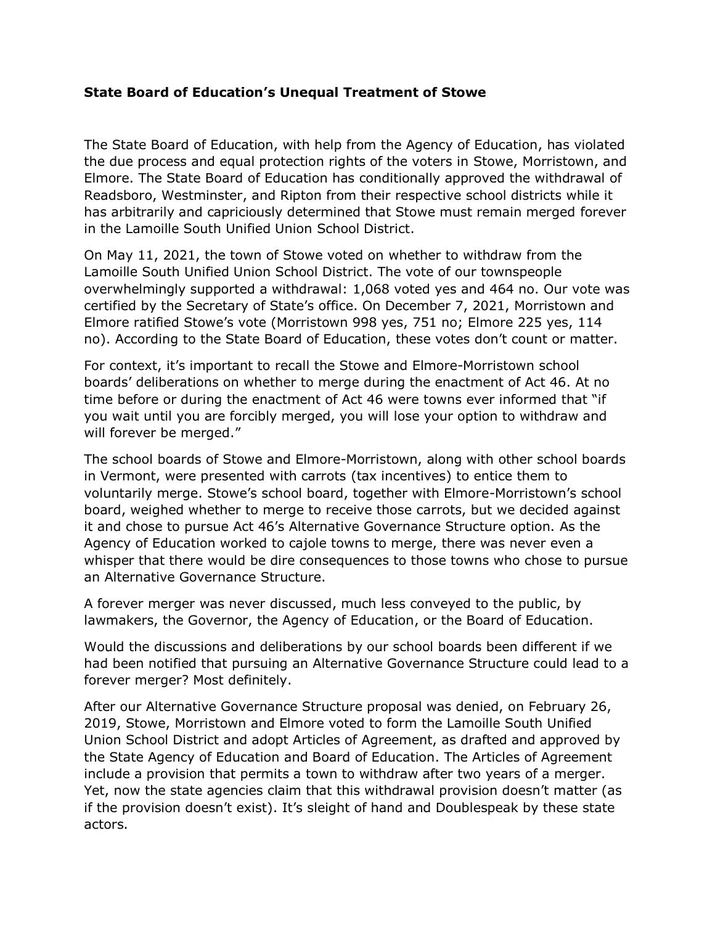## **State Board of Education's Unequal Treatment of Stowe**

The State Board of Education, with help from the Agency of Education, has violated the due process and equal protection rights of the voters in Stowe, Morristown, and Elmore. The State Board of Education has conditionally approved the withdrawal of Readsboro, Westminster, and Ripton from their respective school districts while it has arbitrarily and capriciously determined that Stowe must remain merged forever in the Lamoille South Unified Union School District.

On May 11, 2021, the town of Stowe voted on whether to withdraw from the Lamoille South Unified Union School District. The vote of our townspeople overwhelmingly supported a withdrawal: 1,068 voted yes and 464 no. Our vote was certified by the Secretary of State's office. On December 7, 2021, Morristown and Elmore ratified Stowe's vote (Morristown 998 yes, 751 no; Elmore 225 yes, 114 no). According to the State Board of Education, these votes don't count or matter.

For context, it's important to recall the Stowe and Elmore-Morristown school boards' deliberations on whether to merge during the enactment of Act 46. At no time before or during the enactment of Act 46 were towns ever informed that "if you wait until you are forcibly merged, you will lose your option to withdraw and will forever be merged."

The school boards of Stowe and Elmore-Morristown, along with other school boards in Vermont, were presented with carrots (tax incentives) to entice them to voluntarily merge. Stowe's school board, together with Elmore-Morristown's school board, weighed whether to merge to receive those carrots, but we decided against it and chose to pursue Act 46's Alternative Governance Structure option. As the Agency of Education worked to cajole towns to merge, there was never even a whisper that there would be dire consequences to those towns who chose to pursue an Alternative Governance Structure.

A forever merger was never discussed, much less conveyed to the public, by lawmakers, the Governor, the Agency of Education, or the Board of Education.

Would the discussions and deliberations by our school boards been different if we had been notified that pursuing an Alternative Governance Structure could lead to a forever merger? Most definitely.

After our Alternative Governance Structure proposal was denied, on February 26, 2019, Stowe, Morristown and Elmore voted to form the Lamoille South Unified Union School District and adopt Articles of Agreement, as drafted and approved by the State Agency of Education and Board of Education. The Articles of Agreement include a provision that permits a town to withdraw after two years of a merger. Yet, now the state agencies claim that this withdrawal provision doesn't matter (as if the provision doesn't exist). It's sleight of hand and Doublespeak by these state actors.